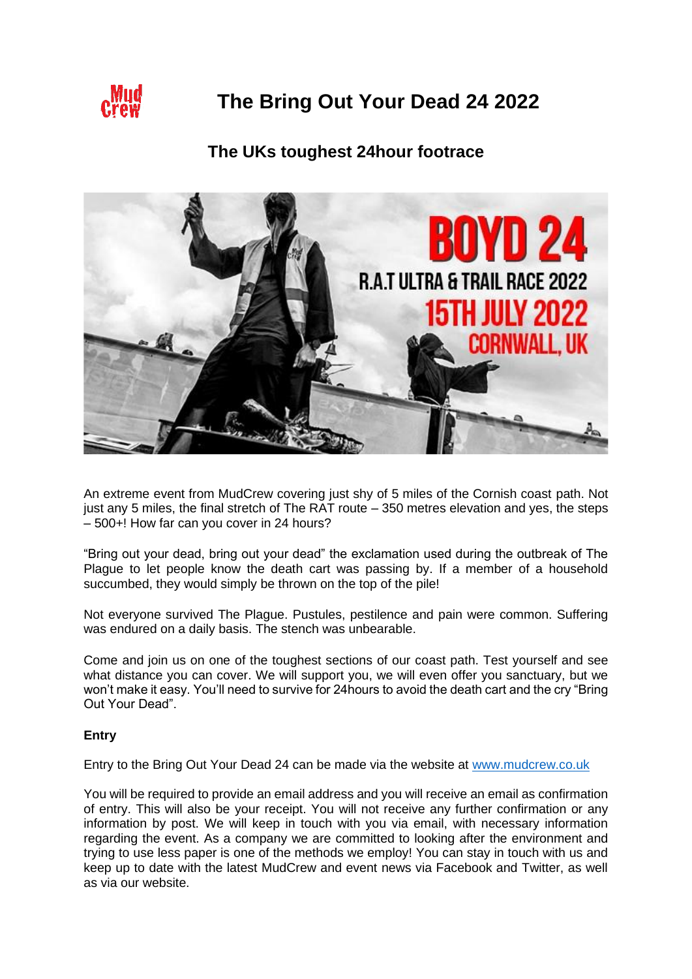

# **The Bring Out Your Dead 24 2022**

# **The UKs toughest 24hour footrace**



An extreme event from MudCrew covering just shy of 5 miles of the Cornish coast path. Not just any 5 miles, the final stretch of The RAT route – 350 metres elevation and yes, the steps – 500+! How far can you cover in 24 hours?

"Bring out your dead, bring out your dead" the exclamation used during the outbreak of The Plague to let people know the death cart was passing by. If a member of a household succumbed, they would simply be thrown on the top of the pile!

Not everyone survived The Plague. Pustules, pestilence and pain were common. Suffering was endured on a daily basis. The stench was unbearable.

Come and join us on one of the toughest sections of our coast path. Test yourself and see what distance you can cover. We will support you, we will even offer you sanctuary, but we won't make it easy. You'll need to survive for 24hours to avoid the death cart and the cry "Bring Out Your Dead".

# **Entry**

Entry to the Bring Out Your Dead 24 can be made via the website at [www.mudcrew.co.uk](http://www.mudcrew.co.uk/)

You will be required to provide an email address and you will receive an email as confirmation of entry. This will also be your receipt. You will not receive any further confirmation or any information by post. We will keep in touch with you via email, with necessary information regarding the event. As a company we are committed to looking after the environment and trying to use less paper is one of the methods we employ! You can stay in touch with us and keep up to date with the latest MudCrew and event news via Facebook and Twitter, as well as via our website.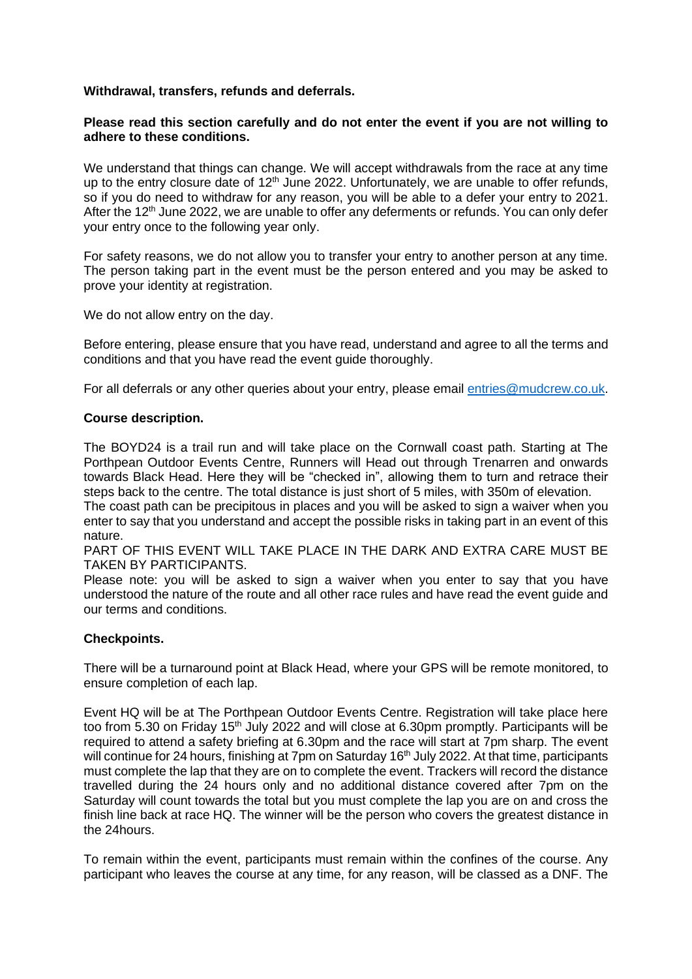#### **Withdrawal, transfers, refunds and deferrals.**

#### **Please read this section carefully and do not enter the event if you are not willing to adhere to these conditions.**

We understand that things can change. We will accept withdrawals from the race at any time up to the entry closure date of  $12<sup>th</sup>$  June 2022. Unfortunately, we are unable to offer refunds, so if you do need to withdraw for any reason, you will be able to a defer your entry to 2021. After the 12<sup>th</sup> June 2022, we are unable to offer any deferments or refunds. You can only defer your entry once to the following year only.

For safety reasons, we do not allow you to transfer your entry to another person at any time. The person taking part in the event must be the person entered and you may be asked to prove your identity at registration.

We do not allow entry on the day.

Before entering, please ensure that you have read, understand and agree to all the terms and conditions and that you have read the event guide thoroughly.

For all deferrals or any other queries about your entry, please email [entries@mudcrew.co.uk.](mailto:entries@mudcrew.co.uk)

#### **Course description.**

The BOYD24 is a trail run and will take place on the Cornwall coast path. Starting at The Porthpean Outdoor Events Centre, Runners will Head out through Trenarren and onwards towards Black Head. Here they will be "checked in", allowing them to turn and retrace their steps back to the centre. The total distance is just short of 5 miles, with 350m of elevation.

The coast path can be precipitous in places and you will be asked to sign a waiver when you enter to say that you understand and accept the possible risks in taking part in an event of this nature.

PART OF THIS EVENT WILL TAKE PLACE IN THE DARK AND EXTRA CARE MUST BE TAKEN BY PARTICIPANTS.

Please note: you will be asked to sign a waiver when you enter to say that you have understood the nature of the route and all other race rules and have read the event guide and our terms and conditions.

# **Checkpoints.**

There will be a turnaround point at Black Head, where your GPS will be remote monitored, to ensure completion of each lap.

Event HQ will be at The Porthpean Outdoor Events Centre. Registration will take place here too from 5.30 on Friday 15<sup>th</sup> July 2022 and will close at 6.30pm promptly. Participants will be required to attend a safety briefing at 6.30pm and the race will start at 7pm sharp. The event will continue for 24 hours, finishing at 7pm on Saturday 16<sup>th</sup> July 2022. At that time, participants must complete the lap that they are on to complete the event. Trackers will record the distance travelled during the 24 hours only and no additional distance covered after 7pm on the Saturday will count towards the total but you must complete the lap you are on and cross the finish line back at race HQ. The winner will be the person who covers the greatest distance in the 24hours.

To remain within the event, participants must remain within the confines of the course. Any participant who leaves the course at any time, for any reason, will be classed as a DNF. The